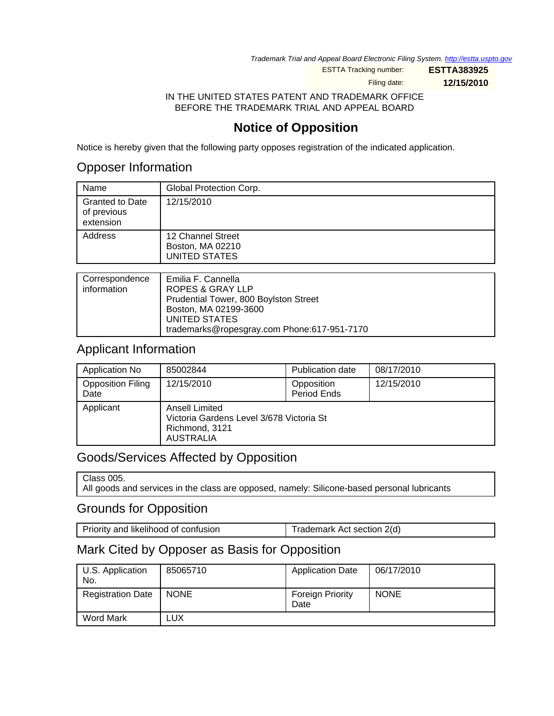Trademark Trial and Appeal Board Electronic Filing System. <http://estta.uspto.gov>

ESTTA Tracking number: **ESTTA383925**

Filing date: **12/15/2010**

#### IN THE UNITED STATES PATENT AND TRADEMARK OFFICE BEFORE THE TRADEMARK TRIAL AND APPEAL BOARD

# **Notice of Opposition**

Notice is hereby given that the following party opposes registration of the indicated application.

## Opposer Information

| Name                                               | Global Protection Corp.                                       |
|----------------------------------------------------|---------------------------------------------------------------|
| <b>Granted to Date</b><br>of previous<br>extension | 12/15/2010                                                    |
| Address                                            | 12 Channel Street<br>Boston, MA 02210<br><b>UNITED STATES</b> |
|                                                    |                                                               |

| Correspondence | Emilia F. Cannella                          |
|----------------|---------------------------------------------|
| information    | ROPES & GRAY LLP                            |
|                | Prudential Tower, 800 Boylston Street       |
|                | Boston, MA 02199-3600                       |
|                | UNITED STATES                               |
|                | trademarks@ropesgray.com Phone:617-951-7170 |

## Applicant Information

| Application No                   | 85002844                                                                                         | <b>Publication date</b>   | 08/17/2010 |
|----------------------------------|--------------------------------------------------------------------------------------------------|---------------------------|------------|
| <b>Opposition Filing</b><br>Date | 12/15/2010                                                                                       | Opposition<br>Period Ends | 12/15/2010 |
| Applicant                        | <b>Ansell Limited</b><br>Victoria Gardens Level 3/678 Victoria St<br>Richmond, 3121<br>AUSTRALIA |                           |            |

## Goods/Services Affected by Opposition

| Class 005.                                                                                  |
|---------------------------------------------------------------------------------------------|
| All goods and services in the class are opposed, namely: Silicone-based personal lubricants |

### Grounds for Opposition

| Priority and likelihood of confusion | Trademark Act section 2(d) |
|--------------------------------------|----------------------------|
|                                      |                            |

# Mark Cited by Opposer as Basis for Opposition

| U.S. Application<br>No.  | 85065710    | <b>Application Date</b>  | 06/17/2010  |
|--------------------------|-------------|--------------------------|-------------|
| <b>Registration Date</b> | <b>NONE</b> | Foreign Priority<br>Date | <b>NONE</b> |
| Word Mark                | LUX         |                          |             |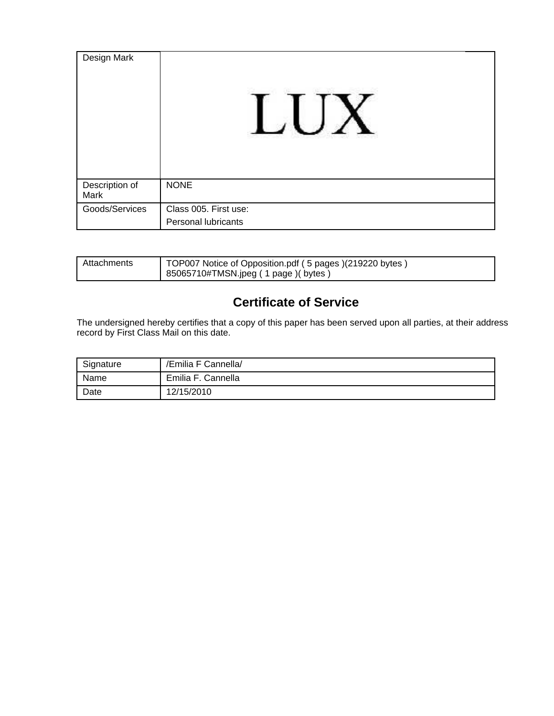| Design Mark            |                       |
|------------------------|-----------------------|
| Description of<br>Mark | <b>NONE</b>           |
| Goods/Services         | Class 005. First use: |
|                        | Personal lubricants   |

| Attachments | TOP007 Notice of Opposition.pdf (5 pages) (219220 bytes) |
|-------------|----------------------------------------------------------|
|             | 85065710#TMSN.jpeg ( 1 page )( bytes )                   |

# **Certificate of Service**

The undersigned hereby certifies that a copy of this paper has been served upon all parties, at their address record by First Class Mail on this date.

| Signature | /Emilia F Cannella/ |
|-----------|---------------------|
| Name      | Emilia F. Cannella  |
| Date      | 12/15/2010          |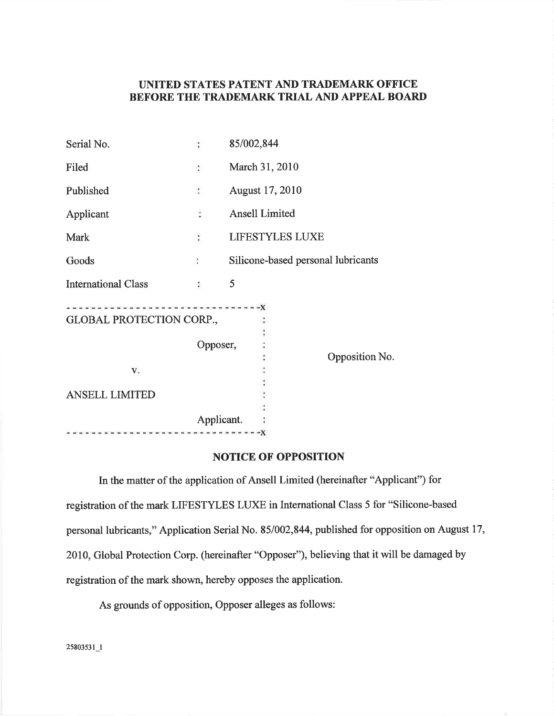### UNITED STATES PATENT AND TRADEMARK OFFICE BEFORE THE TRADEMARK TRIAL AND APPEAL BOARD

| Serial No.                      |                      | 85/002,844                         |  |
|---------------------------------|----------------------|------------------------------------|--|
| Filed                           | $\ddot{\phantom{a}}$ | March 31, 2010                     |  |
| Published                       | ÷                    | August 17, 2010                    |  |
| Applicant                       | $\ddot{\cdot}$       | <b>Ansell Limited</b>              |  |
| Mark                            | $\ddot{\cdot}$       | <b>LIFESTYLES LUXE</b>             |  |
| Goods                           | $\ddot{\cdot}$       | Silicone-based personal lubricants |  |
| <b>International Class</b>      | $\sim$               | 5                                  |  |
| <b>GLOBAL PROTECTION CORP.,</b> |                      |                                    |  |
|                                 | Opposer,             |                                    |  |
| V.                              |                      | Opposition No.                     |  |
| <b>ANSELL LIMITED</b>           |                      |                                    |  |
|                                 | Applicant.           |                                    |  |
|                                 |                      |                                    |  |

#### **NOTICE OF OPPOSITION**

In the matter of the application of Ansell Limited (hereinafter "Applicant") for registration of the mark LIFESTYLES LUXE in International Class 5 for "Silicone-based personal lubricants," Application Serial No. 85/002,844, published for opposition on August 17, 2010, Global Protection Corp. (hereinafter "Opposer"), believing that it will be damaged by registration of the mark shown, hereby opposes the application.

As grounds of opposition, Opposer alleges as follows:

25803531\_1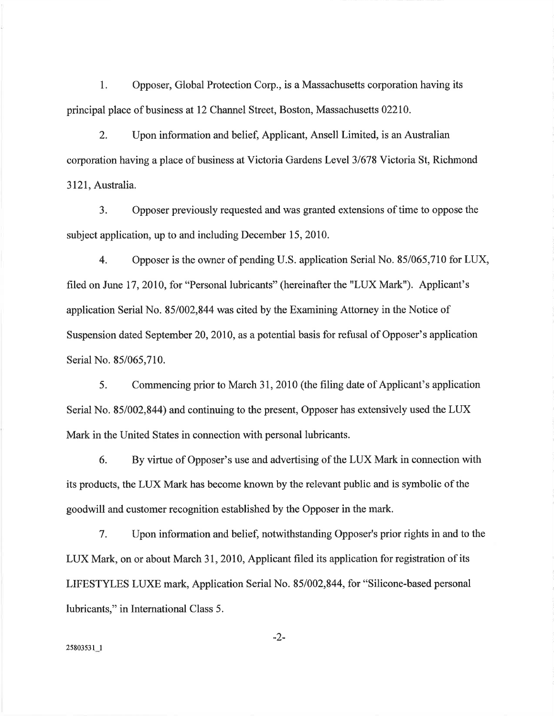Opposer, Global Protection Corp., is a Massachusetts corporation having its 1. principal place of business at 12 Channel Street, Boston, Massachusetts 02210.

Upon information and belief, Applicant, Ansell Limited, is an Australian  $2.$ corporation having a place of business at Victoria Gardens Level 3/678 Victoria St. Richmond 3121, Australia.

 $3.$ Opposer previously requested and was granted extensions of time to oppose the subject application, up to and including December 15, 2010.

Opposer is the owner of pending U.S. application Serial No. 85/065,710 for LUX,  $4.$ filed on June 17, 2010, for "Personal lubricants" (hereinafter the "LUX Mark"). Applicant's application Serial No. 85/002,844 was cited by the Examining Attorney in the Notice of Suspension dated September 20, 2010, as a potential basis for refusal of Opposer's application Serial No. 85/065,710.

5. Commencing prior to March 31, 2010 (the filing date of Applicant's application Serial No. 85/002,844) and continuing to the present, Opposer has extensively used the LUX Mark in the United States in connection with personal lubricants.

By virtue of Opposer's use and advertising of the LUX Mark in connection with 6. its products, the LUX Mark has become known by the relevant public and is symbolic of the goodwill and customer recognition established by the Opposer in the mark.

 $7.$ Upon information and belief, notwithstanding Opposer's prior rights in and to the LUX Mark, on or about March 31, 2010, Applicant filed its application for registration of its LIFESTYLES LUXE mark, Application Serial No. 85/002,844, for "Silicone-based personal lubricants," in International Class 5.

 $-2-$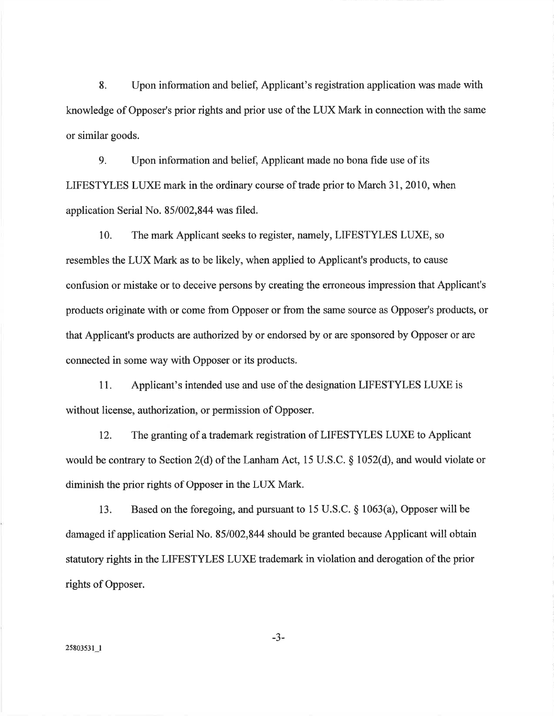8. Upon information and belief, Applicant's registration application was made with knowledge of Opposer's prior rights and prior use of the LUX Mark in connection with the same or similar goods.

9. Upon information and belief, Applicant made no bona fide use of its LIFESTYLES LUXE mark in the ordinary course of trade prior to March 31, 2010, when application Serial No. 85/002,844 was filed.

10. The mark Applicant seeks to register, namely, LIFESTYLES LUXE, so resembles the LUX Mark as to be likely, when applied to Applicant's products, to cause confusion or mistake or to deceive persons by creating the erroneous impression that Applicant's products originate with or come from Opposer or from the same source as Opposer's products, or that Applicant's products are authorized by or endorsed by or are sponsored by Opposer or are connected in some way with Opposer or its products.

Applicant's intended use and use of the designation LIFESTYLES LUXE is 11. without license, authorization, or permission of Opposer.

12. The granting of a trademark registration of LIFESTYLES LUXE to Applicant would be contrary to Section 2(d) of the Lanham Act, 15 U.S.C.  $\S$  1052(d), and would violate or diminish the prior rights of Opposer in the LUX Mark.

Based on the foregoing, and pursuant to 15 U.S.C.  $\S$  1063(a), Opposer will be 13. damaged if application Serial No. 85/002,844 should be granted because Applicant will obtain statutory rights in the LIFESTYLES LUXE trademark in violation and derogation of the prior rights of Opposer.

 $-3-$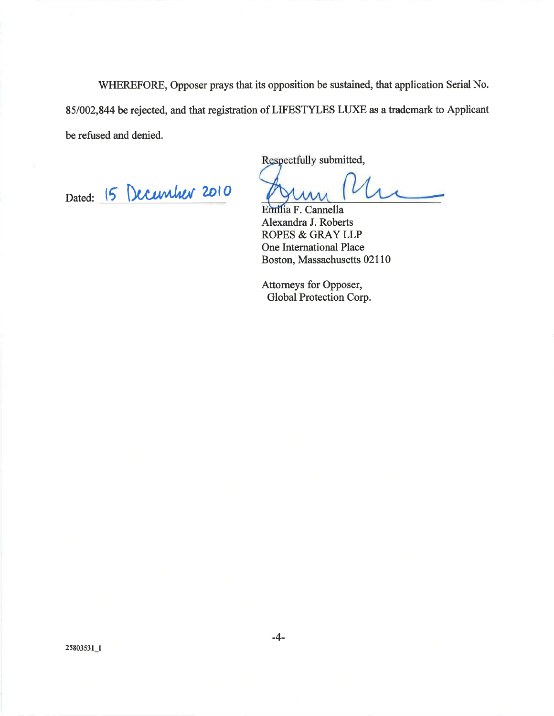WHEREFORE, Opposer prays that its opposition be sustained, that application Serial No. 85/002,844 be rejected, and that registration of LIFESTYLES LUXE as a trademark to Applicant be refused and denied.

Dated: 15 December 2010

Respectfully submitted,

 $\overline{1}$ 

Emilia F. Cannella Alexandra J. Roberts ROPES & GRAY LLP One International Place Boston, Massachusetts 02110

Attorneys for Opposer, Global Protection Corp.

25803531\_1